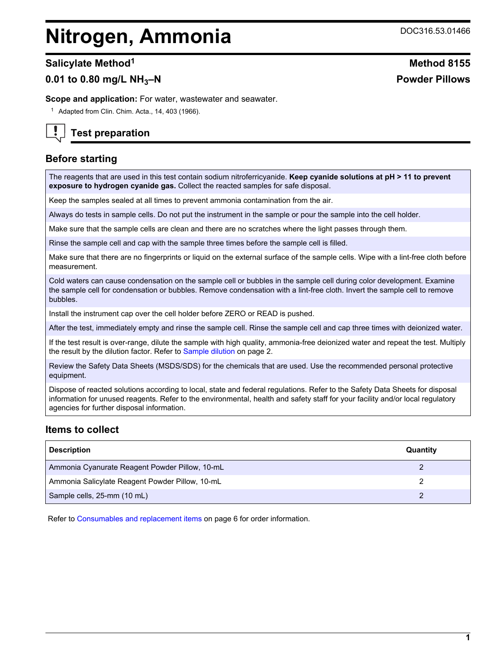# **Nitrogen, Ammonia** DOC316.53.01466

# **0.01 to 0.80 mg/L NH3–N Powder Pillows**

**Scope and application:** For water, wastewater and seawater.

 $1$  Adapted from Clin. Chim. Acta., 14, 403 (1966).



# **Test preparation**

## **Before starting**

The reagents that are used in this test contain sodium nitroferricyanide. **Keep cyanide solutions at pH > 11 to prevent exposure to hydrogen cyanide gas.** Collect the reacted samples for safe disposal.

Keep the samples sealed at all times to prevent ammonia contamination from the air.

Always do tests in sample cells. Do not put the instrument in the sample or pour the sample into the cell holder.

Make sure that the sample cells are clean and there are no scratches where the light passes through them.

Rinse the sample cell and cap with the sample three times before the sample cell is filled.

Make sure that there are no fingerprints or liquid on the external surface of the sample cells. Wipe with a lint-free cloth before measurement.

Cold waters can cause condensation on the sample cell or bubbles in the sample cell during color development. Examine the sample cell for condensation or bubbles. Remove condensation with a lint-free cloth. Invert the sample cell to remove bubbles.

Install the instrument cap over the cell holder before ZERO or READ is pushed.

After the test, immediately empty and rinse the sample cell. Rinse the sample cell and cap three times with deionized water.

If the test result is over-range, dilute the sample with high quality, ammonia-free deionized water and repeat the test. Multiply the result by the dilution factor. Refer to [Sample dilution](#page-1-0) on page 2.

Review the Safety Data Sheets (MSDS/SDS) for the chemicals that are used. Use the recommended personal protective equipment.

Dispose of reacted solutions according to local, state and federal regulations. Refer to the Safety Data Sheets for disposal information for unused reagents. Refer to the environmental, health and safety staff for your facility and/or local regulatory agencies for further disposal information.

## **Items to collect**

| <b>Description</b>                              | Quantity |
|-------------------------------------------------|----------|
| Ammonia Cyanurate Reagent Powder Pillow, 10-mL  |          |
| Ammonia Salicylate Reagent Powder Pillow, 10-mL |          |
| Sample cells, 25-mm (10 mL)                     |          |

Refer to [Consumables and replacement items](#page-5-0) on page 6 for order information.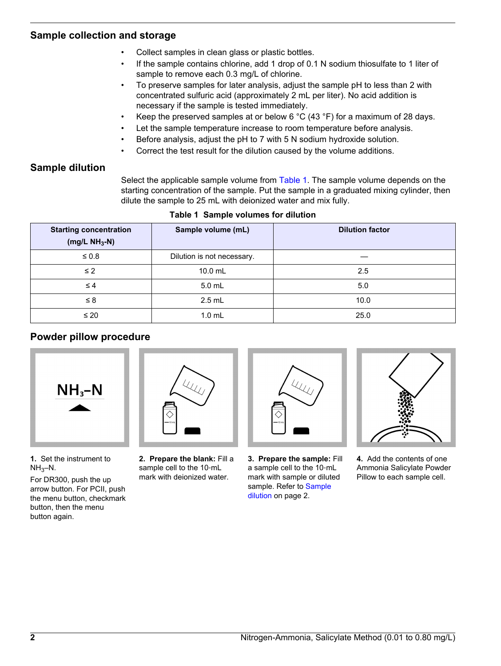## <span id="page-1-0"></span>**Sample collection and storage**

- Collect samples in clean glass or plastic bottles.
- If the sample contains chlorine, add 1 drop of 0.1 N sodium thiosulfate to 1 liter of sample to remove each 0.3 mg/L of chlorine.
- To preserve samples for later analysis, adjust the sample pH to less than 2 with concentrated sulfuric acid (approximately 2 mL per liter). No acid addition is necessary if the sample is tested immediately.
- Keep the preserved samples at or below 6  $^{\circ}$ C (43  $^{\circ}$ F) for a maximum of 28 days.
- Let the sample temperature increase to room temperature before analysis.
- Before analysis, adjust the pH to 7 with 5 N sodium hydroxide solution.
- Correct the test result for the dilution caused by the volume additions.

## **Sample dilution**

Select the applicable sample volume from Table 1. The sample volume depends on the starting concentration of the sample. Put the sample in a graduated mixing cylinder, then dilute the sample to 25 mL with deionized water and mix fully.

| <b>Starting concentration</b><br>(mg/L $NH_3-N$ ) | Sample volume (mL)         | <b>Dilution factor</b> |  |
|---------------------------------------------------|----------------------------|------------------------|--|
| $\leq 0.8$                                        | Dilution is not necessary. |                        |  |
| $\leq$ 2                                          | 10.0 mL                    | 2.5                    |  |
| $\leq 4$                                          | 5.0 mL                     | 5.0                    |  |
| $\leq 8$                                          | $2.5$ mL                   | 10.0                   |  |
| $\leq 20$                                         | $1.0$ mL                   | 25.0                   |  |

#### **Table 1 Sample volumes for dilution**

## **Powder pillow procedure**



**1.** Set the instrument to  $NH<sub>3</sub>-N.$ 

For DR300, push the up arrow button. For PCII, push the menu button, checkmark button, then the menu button again.



**2. Prepare the blank:** Fill a sample cell to the 10-mL mark with deionized water.



**3. Prepare the sample:** Fill a sample cell to the 10‑mL mark with sample or diluted sample. Refer to Sample dilution on page 2.



**4.** Add the contents of one Ammonia Salicylate Powder Pillow to each sample cell.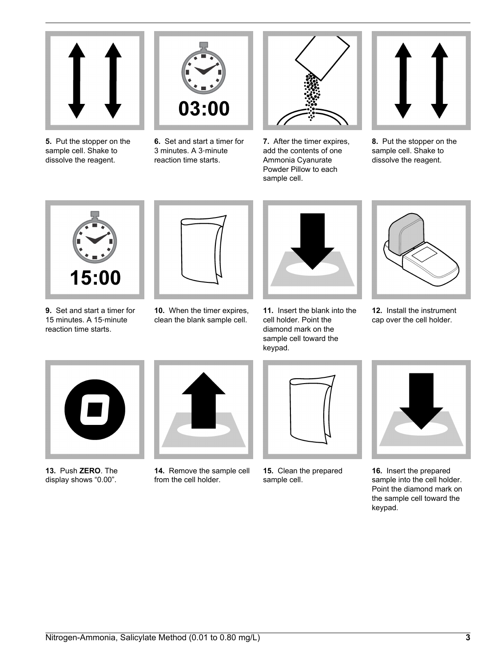

**5.** Put the stopper on the sample cell. Shake to dissolve the reagent.



**6.** Set and start a timer for 3 minutes. A 3‑minute reaction time starts.



**7.** After the timer expires, add the contents of one Ammonia Cyanurate Powder Pillow to each sample cell.



**8.** Put the stopper on the sample cell. Shake to dissolve the reagent.



**9.** Set and start a timer for 15 minutes. A 15‑minute reaction time starts.



**10.** When the timer expires, clean the blank sample cell.



**11.** Insert the blank into the cell holder. Point the diamond mark on the sample cell toward the keypad.



**12.** Install the instrument cap over the cell holder.



**13.** Push **ZERO**. The display shows "0.00".



**14.** Remove the sample cell from the cell holder.



**15.** Clean the prepared sample cell.



**16.** Insert the prepared sample into the cell holder. Point the diamond mark on the sample cell toward the keypad.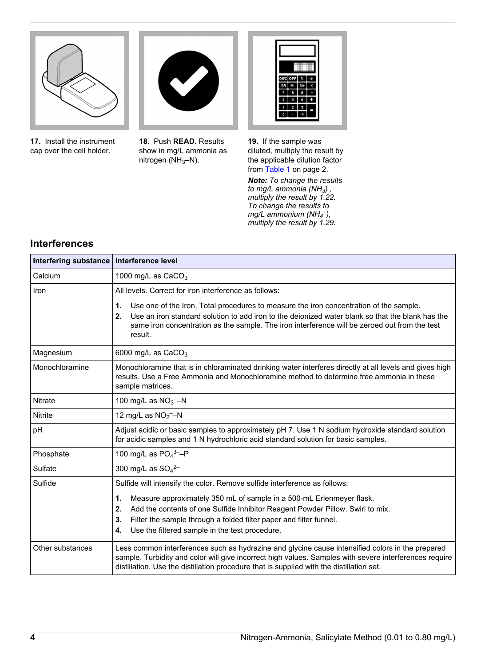

**17.** Install the instrument cap over the cell holder.



**18.** Push **READ**. Results show in mg/L ammonia as

nitrogen (NH<sub>3</sub>–N).

ONC OFF  $\left[\begin{array}{c} \circ \\ \circ \end{array}\right]$   $\div$  $MR$   $M+$   $X$  $7 8 9 4 5 6 +$  $\overline{\bullet}$   $\overline{\bullet}$   $\overline{\bullet}$   $\overline{\bullet}$   $\overline{\bullet}$ 

**19.** If the sample was diluted, multiply the result by the applicable dilution factor from [Table 1](#page-1-0) on page 2.

*Note: To change the results to mg/L ammonia (NH3) , multiply the result by 1.22. To change the results to mg/L ammonium (NH<sup>4</sup> + ), multiply the result by 1.29.*

## **Interferences**

| Interfering substance | Interference level                                                                                                                                                                                                                                                                                                 |
|-----------------------|--------------------------------------------------------------------------------------------------------------------------------------------------------------------------------------------------------------------------------------------------------------------------------------------------------------------|
| Calcium               | 1000 mg/L as $CaCO3$                                                                                                                                                                                                                                                                                               |
| Iron                  | All levels. Correct for iron interference as follows:                                                                                                                                                                                                                                                              |
|                       | 1.<br>Use one of the Iron, Total procedures to measure the iron concentration of the sample.<br>2.<br>Use an iron standard solution to add iron to the deionized water blank so that the blank has the<br>same iron concentration as the sample. The iron interference will be zeroed out from the test<br>result. |
| Magnesium             | 6000 mg/L as $CaCO3$                                                                                                                                                                                                                                                                                               |
| Monochloramine        | Monochloramine that is in chloraminated drinking water interferes directly at all levels and gives high<br>results. Use a Free Ammonia and Monochloramine method to determine free ammonia in these<br>sample matrices.                                                                                            |
| <b>Nitrate</b>        | 100 mg/L as $NO3$ <sup>-</sup> -N                                                                                                                                                                                                                                                                                  |
| Nitrite               | 12 mg/L as $NO2$ -N                                                                                                                                                                                                                                                                                                |
| pH                    | Adjust acidic or basic samples to approximately pH 7. Use 1 N sodium hydroxide standard solution<br>for acidic samples and 1 N hydrochloric acid standard solution for basic samples.                                                                                                                              |
| Phosphate             | 100 mg/L as $PO_4^3$ -P                                                                                                                                                                                                                                                                                            |
| Sulfate               | 300 mg/L as $SO_4^{2-}$                                                                                                                                                                                                                                                                                            |
| Sulfide               | Sulfide will intensify the color. Remove sulfide interference as follows:                                                                                                                                                                                                                                          |
|                       | 1.<br>Measure approximately 350 mL of sample in a 500-mL Erlenmeyer flask.<br>Add the contents of one Sulfide Inhibitor Reagent Powder Pillow. Swirl to mix.<br>2.<br>Filter the sample through a folded filter paper and filter funnel.<br>3.<br>Use the filtered sample in the test procedure.<br>4.             |
| Other substances      | Less common interferences such as hydrazine and glycine cause intensified colors in the prepared<br>sample. Turbidity and color will give incorrect high values. Samples with severe interferences require<br>distillation. Use the distillation procedure that is supplied with the distillation set.             |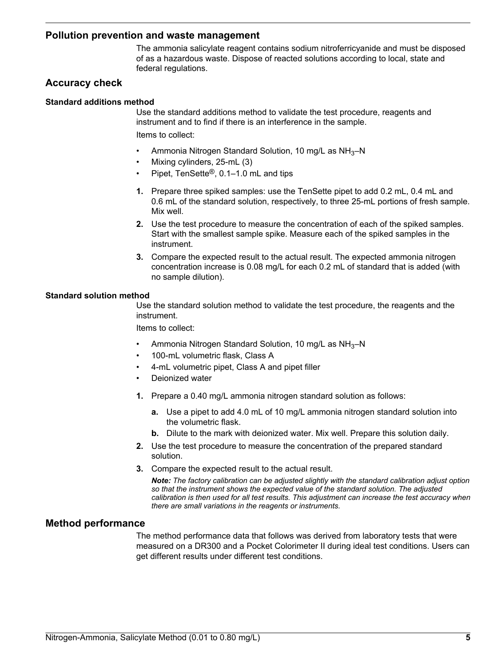#### **Pollution prevention and waste management**

The ammonia salicylate reagent contains sodium nitroferricyanide and must be disposed of as a hazardous waste. Dispose of reacted solutions according to local, state and federal regulations.

## **Accuracy check**

#### **Standard additions method**

Use the standard additions method to validate the test procedure, reagents and instrument and to find if there is an interference in the sample. Items to collect:

- Ammonia Nitrogen Standard Solution, 10 mg/L as NH<sub>3</sub>-N
- Mixing cylinders, 25-mL (3)
- Pipet, TenSette®, 0.1–1.0 mL and tips
- **1.** Prepare three spiked samples: use the TenSette pipet to add 0.2 mL, 0.4 mL and 0.6 mL of the standard solution, respectively, to three 25-mL portions of fresh sample. Mix well.
- **2.** Use the test procedure to measure the concentration of each of the spiked samples. Start with the smallest sample spike. Measure each of the spiked samples in the instrument.
- **3.** Compare the expected result to the actual result. The expected ammonia nitrogen concentration increase is 0.08 mg/L for each 0.2 mL of standard that is added (with no sample dilution).

#### **Standard solution method**

Use the standard solution method to validate the test procedure, the reagents and the instrument.

Items to collect:

- Ammonia Nitrogen Standard Solution, 10 mg/L as NH<sub>3</sub>-N
- 100-mL volumetric flask, Class A
- 4-mL volumetric pipet, Class A and pipet filler
- Deionized water
- **1.** Prepare a 0.40 mg/L ammonia nitrogen standard solution as follows:
	- **a.** Use a pipet to add 4.0 mL of 10 mg/L ammonia nitrogen standard solution into the volumetric flask.
	- **b.** Dilute to the mark with deionized water. Mix well. Prepare this solution daily.
- **2.** Use the test procedure to measure the concentration of the prepared standard solution.
- **3.** Compare the expected result to the actual result.

*Note: The factory calibration can be adjusted slightly with the standard calibration adjust option so that the instrument shows the expected value of the standard solution. The adjusted calibration is then used for all test results. This adjustment can increase the test accuracy when there are small variations in the reagents or instruments.*

#### **Method performance**

The method performance data that follows was derived from laboratory tests that were measured on a DR300 and a Pocket Colorimeter II during ideal test conditions. Users can get different results under different test conditions.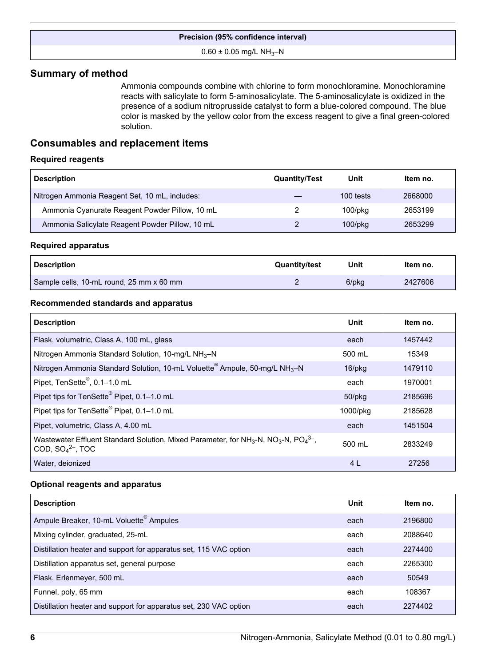#### **Precision (95% confidence interval)**

#### $0.60 \pm 0.05$  mg/L NH<sub>3</sub>-N

## <span id="page-5-0"></span>**Summary of method**

Ammonia compounds combine with chlorine to form monochloramine. Monochloramine reacts with salicylate to form 5-aminosalicylate. The 5‑aminosalicylate is oxidized in the presence of a sodium nitroprusside catalyst to form a blue-colored compound. The blue color is masked by the yellow color from the excess reagent to give a final green-colored solution.

## **Consumables and replacement items**

#### **Required reagents**

| <b>Description</b>                              | <b>Quantity/Test</b> | Unit          | Item no. |
|-------------------------------------------------|----------------------|---------------|----------|
| Nitrogen Ammonia Reagent Set, 10 mL, includes:  |                      | 100 tests     | 2668000  |
| Ammonia Cyanurate Reagent Powder Pillow, 10 mL  |                      | $100$ /p $ka$ | 2653199  |
| Ammonia Salicylate Reagent Powder Pillow, 10 mL |                      | $100$ /p $kg$ | 2653299  |

#### **Required apparatus**

| <b>Description</b>                       | <b>Quantity/test</b> | Unit  | ltem no. |
|------------------------------------------|----------------------|-------|----------|
| Sample cells, 10-mL round, 25 mm x 60 mm |                      | 6/pkg | 2427606  |

#### **Recommended standards and apparatus**

| <b>Description</b>                                                                                                                                        | Unit         | Item no. |
|-----------------------------------------------------------------------------------------------------------------------------------------------------------|--------------|----------|
| Flask, volumetric, Class A, 100 mL, glass                                                                                                                 | each         | 1457442  |
| Nitrogen Ammonia Standard Solution, 10-mg/L NH <sub>3</sub> -N                                                                                            | 500 mL       | 15349    |
| Nitrogen Ammonia Standard Solution, 10-mL Voluette <sup>®</sup> Ampule, 50-mg/L NH <sub>3</sub> -N                                                        | 16/pkg       | 1479110  |
| Pipet, TenSette <sup>®</sup> , 0.1-1.0 mL                                                                                                                 | each         | 1970001  |
| Pipet tips for TenSette <sup>®</sup> Pipet, 0.1-1.0 mL                                                                                                    | $50$ /p $kg$ | 2185696  |
| Pipet tips for TenSette <sup>®</sup> Pipet, 0.1-1.0 mL                                                                                                    | 1000/pkg     | 2185628  |
| Pipet, volumetric, Class A, 4.00 mL                                                                                                                       | each         | 1451504  |
| Wastewater Effluent Standard Solution, Mixed Parameter, for NH <sub>3</sub> -N, NO <sub>3</sub> -N, PO <sub>4</sub> <sup>3-</sup> ,<br>COD, $SO42-$ , TOC | 500 mL       | 2833249  |
| Water, deionized                                                                                                                                          | 4 L          | 27256    |

#### **Optional reagents and apparatus**

| <b>Description</b>                                                | Unit | Item no. |
|-------------------------------------------------------------------|------|----------|
| Ampule Breaker, 10-mL Voluette <sup>®</sup> Ampules               | each | 2196800  |
| Mixing cylinder, graduated, 25-mL                                 | each | 2088640  |
| Distillation heater and support for apparatus set, 115 VAC option | each | 2274400  |
| Distillation apparatus set, general purpose                       | each | 2265300  |
| Flask, Erlenmeyer, 500 mL                                         | each | 50549    |
| Funnel, poly, 65 mm                                               | each | 108367   |
| Distillation heater and support for apparatus set, 230 VAC option | each | 2274402  |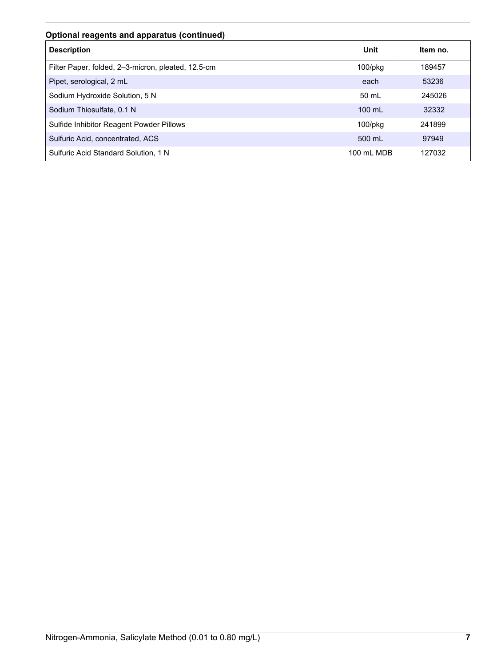## **Optional reagents and apparatus (continued)**

| <b>Description</b>                                 | Unit          | Item no. |
|----------------------------------------------------|---------------|----------|
| Filter Paper, folded, 2-3-micron, pleated, 12.5-cm | $100$ /pkg    | 189457   |
| Pipet, serological, 2 mL                           | each          | 53236    |
| Sodium Hydroxide Solution, 5 N                     | 50 mL         | 245026   |
| Sodium Thiosulfate, 0.1 N                          | $100$ mL      | 32332    |
| Sulfide Inhibitor Reagent Powder Pillows           | $100$ /p $kg$ | 241899   |
| Sulfuric Acid, concentrated, ACS                   | 500 mL        | 97949    |
| Sulfuric Acid Standard Solution, 1 N               | 100 mL MDB    | 127032   |